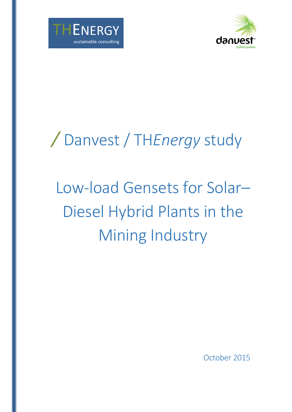



## */* Danvest / TH*Energy* study

# Low-load Gensets for Solar– Diesel Hybrid Plants in the Mining Industry

October 2015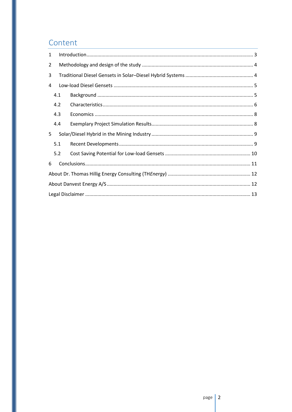## Content

| 1 |     |  |  |  |  |  |  |
|---|-----|--|--|--|--|--|--|
| 2 |     |  |  |  |  |  |  |
| 3 |     |  |  |  |  |  |  |
| 4 |     |  |  |  |  |  |  |
|   | 4.1 |  |  |  |  |  |  |
|   | 4.2 |  |  |  |  |  |  |
|   | 4.3 |  |  |  |  |  |  |
|   | 4.4 |  |  |  |  |  |  |
| 5 |     |  |  |  |  |  |  |
|   | 5.1 |  |  |  |  |  |  |
|   | 5.2 |  |  |  |  |  |  |
| 6 |     |  |  |  |  |  |  |
|   |     |  |  |  |  |  |  |
|   |     |  |  |  |  |  |  |
|   |     |  |  |  |  |  |  |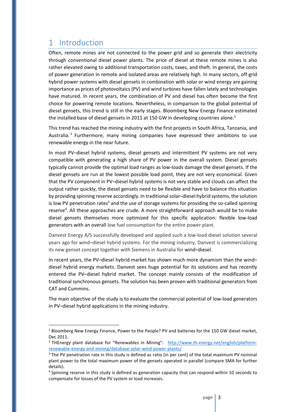## <span id="page-2-0"></span>1 Introduction

 $\overline{a}$ 

Often, remote mines are not connected to the power grid and so generate their electricity through conventional diesel power plants. The price of diesel at these remote mines is also rather elevated owing to additional transportation costs, taxes, and theft. In general, the costs of power generation in remote and isolated areas are relatively high. In many sectors, off-grid hybrid power systems with diesel gensets in combination with solar or wind energy are gaining importance as prices of photovoltaics (PV) and wind turbines have fallen lately and technologies have matured. In recent years, the combination of PV and diesel has often become the first choice for powering remote locations. Nevertheless, in comparison to the global potential of diesel gensets, this trend is still in the early stages. Bloomberg New Energy Finance estimated the installed base of diesel gensets in 2011 at 150 GW in developing countries alone.<sup>1</sup>

This trend has reached the mining industry with the first projects in South Africa, Tanzania, and Australia.<sup>2</sup> Furthermore, many mining companies have expressed their ambitions to use renewable energy in the near future.

In most PV–diesel hybrid systems, diesel gensets and intermittent PV systems are not very compatible with generating a high share of PV power in the overall system. Diesel gensets typically cannot provide the optimal load ranges as low-loads damage the diesel gensets. If the diesel gensets are run at the lowest possible load point, they are not very economical. Given that the PV component in PV–diesel hybrid systems is not very stable and clouds can affect the output rather quickly, the diesel gensets need to be flexible and have to balance this situation by providing spinning reserve accordingly. In traditional solar–diesel hybrid systems, the solution is low PV penetration rates<sup>3</sup> and the use of storage systems for providing the so-called spinning reserve<sup>4</sup>. All these approaches are crude. A more straightforward approach would be to make diesel gensets themselves more optimized for this specific application: flexible low-load generators with an overall low fuel consumption for the entire power plant.

Danvest Energy A/S successfully developed and applied such a low-load diesel solution several years ago for wind–diesel hybrid systems. For the mining industry, Danvest is commercializing its new genset concept together with Siemens in Australia for wind–diesel.

In recent years, the PV–diesel hybrid market has shown much more dynamism than the wind– diesel hybrid energy markets. Danvest sees huge potential for its solutions and has recently entered the PV–diesel hybrid market. The concept mainly consists of the modification of traditional synchronous gensets. The solution has been proven with traditional generators from CAT and Cummins.

The main objective of the study is to evaluate the commercial potential of low-load generators in PV–diesel hybrid applications in the mining industry.

<sup>&</sup>lt;sup>1</sup> Bloomberg New Energy Finance, Power to the People? PV and batteries for the 150 GW diesel market, Dec 2011.

<sup>&</sup>lt;sup>2</sup> THEnergy plant database for "Renewables in Mining": [http://www.th-energy.net/english/platform](http://www.th-energy.net/english/platform-renewable-energy-and-mining/database-solar-wind-power-plants/)[renewable-energy-and-mining/database-solar-wind-power-plants/](http://www.th-energy.net/english/platform-renewable-energy-and-mining/database-solar-wind-power-plants/)

<sup>&</sup>lt;sup>3</sup> The PV penetration rate in this study is defined as ratio (in per cent) of the total maximum PV nominal plant power to the total maximum power of the gensets operated in parallel (compare SMA for further details).

<sup>&</sup>lt;sup>4</sup> Spinning reserve in this study is defined as generation capacity that can respond within 10 seconds to compensate for losses of the PV system or load increases.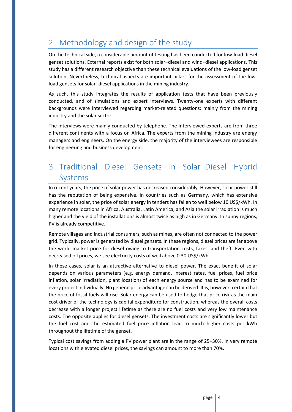## <span id="page-3-0"></span>2 Methodology and design of the study

On the technical side, a considerable amount of testing has been conducted for low-load diesel genset solutions. External reports exist for both solar–diesel and wind–diesel applications. This study has a different research objective than these technical evaluations of the low-load genset solution. Nevertheless, technical aspects are important pillars for the assessment of the lowload gensets for solar–diesel applications in the mining industry.

As such, this study integrates the results of application tests that have been previously conducted, and of simulations and expert interviews. Twenty-one experts with different backgrounds were interviewed regarding market-related questions: mainly from the mining industry and the solar sector.

The interviews were mainly conducted by telephone. The interviewed experts are from three different continents with a focus on Africa. The experts from the mining industry are energy managers and engineers. On the energy side, the majority of the interviewees are responsible for engineering and business development.

## <span id="page-3-1"></span>3 Traditional Diesel Gensets in Solar–Diesel Hybrid Systems

In recent years, the price of solar power has decreased considerably. However, solar power still has the reputation of being expensive. In countries such as Germany, which has extensive experience in solar, the price of solar energy in tenders has fallen to well below 10 US\$/kWh. In many remote locations in Africa, Australia, Latin America, and Asia the solar irradiation is much higher and the yield of the installations is almost twice as high as in Germany. In sunny regions, PV is already competitive.

Remote villages and industrial consumers, such as mines, are often not connected to the power grid. Typically, power is generated by diesel gensets. In these regions, diesel prices are far above the world market price for diesel owing to transportation costs, taxes, and theft. Even with decreased oil prices, we see electricity costs of well above 0.30 US\$/kWh.

In these cases, solar is an attractive alternative to diesel power. The exact benefit of solar depends on various parameters (e.g. energy demand, interest rates, fuel prices, fuel price inflation, solar irradiation, plant location) of each energy source and has to be examined for every project individually. No general price advantage can be derived. It is, however, certain that the price of fossil fuels will rise. Solar energy can be used to hedge that price risk as the main cost driver of the technology is capital expenditure for construction, whereas the overall costs decrease with a longer project lifetime as there are no fuel costs and very low maintenance costs. The opposite applies for diesel gensets. The investment costs are significantly lower but the fuel cost and the estimated fuel price inflation lead to much higher costs per kWh throughout the lifetime of the genset.

Typical cost savings from adding a PV power plant are in the range of 25–30%. In very remote locations with elevated diesel prices, the savings can amount to more than 70%.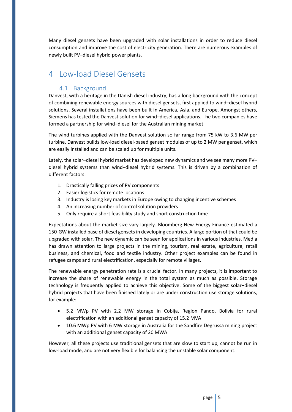Many diesel gensets have been upgraded with solar installations in order to reduce diesel consumption and improve the cost of electricity generation. There are numerous examples of newly built PV–diesel hybrid power plants.

### <span id="page-4-1"></span><span id="page-4-0"></span>4 Low-load Diesel Gensets

#### 4.1 Background

Danvest, with a heritage in the Danish diesel industry, has a long background with the concept of combining renewable energy sources with diesel gensets, first applied to wind–diesel hybrid solutions. Several installations have been built in America, Asia, and Europe. Amongst others, Siemens has tested the Danvest solution for wind–diesel applications. The two companies have formed a partnership for wind–diesel for the Australian mining market.

The wind turbines applied with the Danvest solution so far range from 75 kW to 3.6 MW per turbine. Danvest builds low-load diesel-based genset modules of up to 2 MW per genset, which are easily installed and can be scaled up for multiple units.

Lately, the solar–diesel hybrid market has developed new dynamics and we see many more PV– diesel hybrid systems than wind–diesel hybrid systems. This is driven by a combination of different factors:

- 1. Drastically falling prices of PV components
- 2. Easier logistics for remote locations
- 3. Industry is losing key markets in Europe owing to changing incentive schemes
- 4. An increasing number of control solution providers
- 5. Only require a short feasibility study and short construction time

Expectations about the market size vary largely. Bloomberg New Energy Finance estimated a 150-GW installed base of diesel gensets in developing countries. A large portion of that could be upgraded with solar. The new dynamic can be seen for applications in various industries. Media has drawn attention to large projects in the mining, tourism, real estate, agriculture, retail business, and chemical, food and textile industry. Other project examples can be found in refugee camps and rural electrification, especially for remote villages.

The renewable energy penetration rate is a crucial factor. In many projects, it is important to increase the share of renewable energy in the total system as much as possible. Storage technology is frequently applied to achieve this objective. Some of the biggest solar–diesel hybrid projects that have been finished lately or are under construction use storage solutions, for example:

- 5.2 MWp PV with 2.2 MW storage in Cobija, Region Pando, Bolivia for rural electrification with an additional genset capacity of 15.2 MVA
- 10.6 MWp PV with 6 MW storage in Australia for the Sandfire Degrussa mining project with an additional genset capacity of 20 MWA

However, all these projects use traditional gensets that are slow to start up, cannot be run in low-load mode, and are not very flexible for balancing the unstable solar component.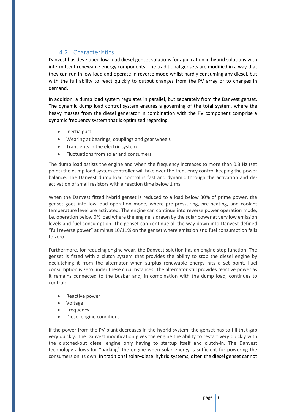### 4.2 Characteristics

<span id="page-5-0"></span>Danvest has developed low-load diesel genset solutions for application in hybrid solutions with intermittent renewable energy components. The traditional gensets are modified in a way that they can run in low-load and operate in reverse mode whilst hardly consuming any diesel, but with the full ability to react quickly to output changes from the PV array or to changes in demand.

In addition, a dump load system regulates in parallel, but separately from the Danvest genset. The dynamic dump load control system ensures a governing of the total system, where the heavy masses from the diesel generator in combination with the PV component comprise a dynamic frequency system that is optimized regarding:

- Inertia gust
- Wearing at bearings, couplings and gear wheels
- Transients in the electric system
- Fluctuations from solar and consumers

The dump load assists the engine and when the frequency increases to more than 0.3 Hz (set point) the dump load system controller will take over the frequency control keeping the power balance. The Danvest dump load control is fast and dynamic through the activation and deactivation of small resistors with a reaction time below 1 ms.

When the Danvest fitted hybrid genset is reduced to a load below 30% of prime power, the genset goes into low-load operation mode, where pre-pressuring, pre-heating, and coolant temperature level are activated. The engine can continue into reverse power operation mode, i.e. operation below 0% load where the engine is drawn by the solar power at very low emission levels and fuel consumption. The genset can continue all the way down into Danvest-defined "full reverse power" at minus 10/11% on the genset where emission and fuel consumption falls to zero.

Furthermore, for reducing engine wear, the Danvest solution has an engine stop function. The genset is fitted with a clutch system that provides the ability to stop the diesel engine by declutching it from the alternator when surplus renewable energy hits a set point. Fuel consumption is zero under these circumstances. The alternator still provides reactive power as it remains connected to the busbar and, in combination with the dump load, continues to control:

- Reactive power
- Voltage
- Frequency
- Diesel engine conditions

If the power from the PV plant decreases in the hybrid system, the genset has to fill that gap very quickly. The Danvest modification gives the engine the ability to restart very quickly with the clutched-out diesel engine only having to startup itself and clutch-in. The Danvest technology allows for "parking" the engine when solar energy is sufficient for powering the consumers on its own. In traditional solar–diesel hybrid systems, often the diesel genset cannot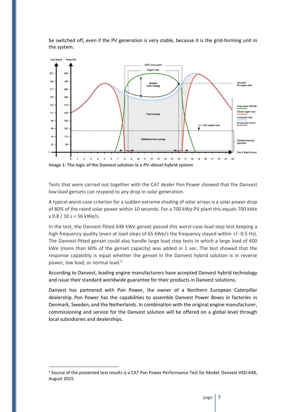

be switched off, even if the PV generation is very stable, because it is the grid-forming unit in the system.

**Image 1: The logic of the Danvest solution in a PV–diesel hybrid system**

Tests that were carried out together with the CAT dealer Pon Power showed that the Danvest low-load gensets can respond to any drop in solar generation.

A typical worst-case criterion for a sudden extreme shading of solar arrays is a solar power drop of 80% of the rated solar power within 10 seconds. For a 700 kWp PV plant this equals 700 kWe  $x 0.8 / 10 s = 56$  kWe/s.

In the test, the Danvest-fitted 648 kWe genset passed this worst-case load step test keeping a high frequency quality (even at load steps of 65 kWe/s the frequency stayed within +/- 0.5 Hz). The Danvest-fitted genset could also handle large load step tests in which a large load of 400 kWe (more than 60% of the genset capacity) was added in 1 sec. The test showed that the response capability is equal whether the genset in the Danvest hybrid solution is in reverse power, low load, or normal load.<sup>5</sup>

According to Danvest, leading engine manufacturers have accepted Danvest hybrid technology and issue their standard worldwide guarantee for their products in Danvest solutions.

Danvest has partnered with Pon Power, the owner of a Northern European Caterpillar dealership. Pon Power has the capabilities to assemble Danvest Power Boxes in factories in Denmark, Sweden, and the Netherlands. In combination with the original engine manufacturer, commissioning and service for the Danvest solution will be offered on a global level through local subsidiaries and dealerships.

 $\overline{a}$ 

<sup>&</sup>lt;sup>5</sup> Source of the presented test results is a CAT Pon Power Performance Test for Model: Danvest HSD-648, August 2015.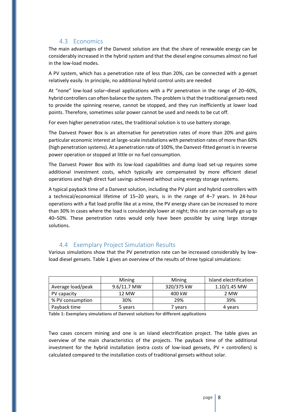#### 4.3 Economics

<span id="page-7-0"></span>The main advantages of the Danvest solution are that the share of renewable energy can be considerably increased in the hybrid system and that the diesel engine consumes almost no fuel in the low-load modes.

A PV system, which has a penetration rate of less than 20%, can be connected with a genset relatively easily. In principle, no additional hybrid control units are needed

At "none" low-load solar–diesel applications with a PV penetration in the range of 20–60%, hybrid controllers can often balance the system. The problem isthat the traditional gensets need to provide the spinning reserve, cannot be stopped, and they run inefficiently at lower load points. Therefore, sometimes solar power cannot be used and needs to be cut off.

For even higher penetration rates, the traditional solution is to use battery storage.

The Danvest Power Box is an alternative for penetration rates of more than 20% and gains particular economic interest at large-scale installations with penetration rates of more than 60% (high penetration systems). At a penetration rate of 100%, the Danvest-fitted genset is in reverse power operation or stopped at little or no fuel consumption.

The Danvest Power Box with its low-load capabilities and dump load set-up requires some additional investment costs, which typically are compensated by more efficient diesel operations and high direct fuel savings achieved without using energy storage systems.

A typical payback time of a Danvest solution, including the PV plant and hybrid controllers with a technical/economical lifetime of 15–20 years, is in the range of 4–7 years. In 24-hour operations with a flat load profile like at a mine, the PV energy share can be increased to more than 30% In cases where the load is considerably lower at night; this rate can normally go up to 40–50%. These penetration rates would only have been possible by using large storage solutions.

#### <span id="page-7-1"></span>4.4 Exemplary Project Simulation Results

Various simulations show that the PV penetration rate can be increased considerably by lowload diesel gensets. Table 1 gives an overview of the results of three typical simulations:

|                   | Mining      | Mining     | Island electrification |
|-------------------|-------------|------------|------------------------|
| Average load/peak | 9.6/11.7 MW | 320/375 kW | $1.10/1.45$ MW         |
| PV capacity       | 12 MW       | 400 kW     | 2 MW                   |
| % PV consumption  | 30%         | 29%        | 39%                    |
| Payback time      | 5 years     | ' vears    | 4 years                |

**Table 1: Exemplary simulations of Danvest solutions for different applications**

Two cases concern mining and one is an island electrification project. The table gives an overview of the main characteristics of the projects. The payback time of the additional investment for the hybrid installation (extra costs of low-load gensets, PV + controllers) is calculated compared to the installation costs of traditional gensets without solar.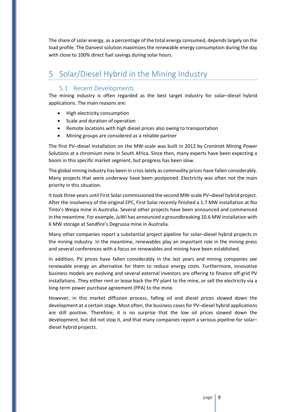The share of solar energy, as a percentage of the total energy consumed, depends largely on the load profile. The Danvest solution maximizes the renewable energy consumption during the day with close to 100% direct fuel savings during solar hours.

## <span id="page-8-1"></span><span id="page-8-0"></span>5 Solar/Diesel Hybrid in the Mining Industry

#### 5.1 Recent Developments

The mining industry is often regarded as the best target industry for solar–diesel hybrid applications. The main reasons are:

- High electricity consumption
- Scale and duration of operation
- Remote locations with high diesel prices also owing to transportation
- Mining groups are considered as a reliable partner

The first PV–diesel installation on the MW-scale was built in 2012 by Cronimet Mining Power Solutions at a chromium mine in South Africa. Since then, many experts have been expecting a boom in this specific market segment, but progress has been slow.

The global mining industry has been in crisis lately as commodity prices have fallen considerably. Many projects that were underway have been postponed. Electricity was often not the main priority in this situation.

It took three years until First Solar commissioned the second MW-scale PV–diesel hybrid project. After the insolvency of the original EPC, First Solar recently finished a 1.7 MW installation at Rio Tinto's Weipa mine in Australia. Several other projects have been announced and commenced in the meantime. For example, JuWi has announced a groundbreaking 10.6 MW installation with 6 MW storage at Sandfire's Degrussa mine in Australia.

Many other companies report a substantial project pipeline for solar–diesel hybrid projects in the mining industry. In the meantime, renewables play an important role in the mining press and several conferences with a focus on renewables and mining have been established.

In addition, PV prices have fallen considerably in the last years and mining companies see renewable energy an alternative for them to reduce energy costs. Furthermore, innovative business models are evolving and several external investors are offering to finance off-grid PV installations. They either rent or lease back the PV plant to the mine, or sell the electricity via a long-term power purchase agreement (PPA) to the mine.

However, in this market diffusion process, falling oil and diesel prices slowed down the development at a certain stage. Most often, the business cases for PV–diesel hybrid applications are still positive. Therefore, it is no surprise that the low oil prices slowed down the development, but did not stop it, and that many companies report a serious pipeline for solar– diesel hybrid projects.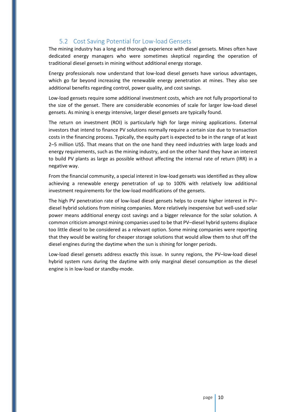#### 5.2 Cost Saving Potential for Low-load Gensets

<span id="page-9-0"></span>The mining industry has a long and thorough experience with diesel gensets. Mines often have dedicated energy managers who were sometimes skeptical regarding the operation of traditional diesel gensets in mining without additional energy storage.

Energy professionals now understand that low-load diesel gensets have various advantages, which go far beyond increasing the renewable energy penetration at mines. They also see additional benefits regarding control, power quality, and cost savings.

Low-load gensets require some additional investment costs, which are not fully proportional to the size of the genset. There are considerable economies of scale for larger low-load diesel gensets. As mining is energy intensive, larger diesel gensets are typically found.

The return on investment (ROI) is particularly high for large mining applications. External investors that intend to finance PV solutions normally require a certain size due to transaction costs in the financing process. Typically, the equity part is expected to be in the range of at least 2–5 million US\$. That means that on the one hand they need industries with large loads and energy requirements, such as the mining industry, and on the other hand they have an interest to build PV plants as large as possible without affecting the internal rate of return (IRR) in a negative way.

From the financial community, a special interest in low-load gensets was identified as they allow achieving a renewable energy penetration of up to 100% with relatively low additional investment requirements for the low-load modifications of the gensets.

The high PV penetration rate of low-load diesel gensets helps to create higher interest in PV– diesel hybrid solutions from mining companies. More relatively inexpensive but well-used solar power means additional energy cost savings and a bigger relevance for the solar solution. A common criticism amongst mining companies used to be that PV–diesel hybrid systems displace too little diesel to be considered as a relevant option. Some mining companies were reporting that they would be waiting for cheaper storage solutions that would allow them to shut off the diesel engines during the daytime when the sun is shining for longer periods.

Low-load diesel gensets address exactly this issue. In sunny regions, the PV–low-load diesel hybrid system runs during the daytime with only marginal diesel consumption as the diesel engine is in low-load or standby-mode.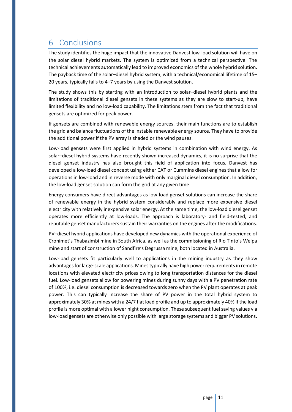## <span id="page-10-0"></span>6 Conclusions

The study identifies the huge impact that the innovative Danvest low-load solution will have on the solar diesel hybrid markets. The system is optimized from a technical perspective. The technical achievements automatically lead to improved economics of the whole hybrid solution. The payback time of the solar–diesel hybrid system, with a technical/economical lifetime of 15– 20 years, typically falls to 4–7 years by using the Danvest solution.

The study shows this by starting with an introduction to solar–diesel hybrid plants and the limitations of traditional diesel gensets in these systems as they are slow to start-up, have limited flexibility and no low-load capability. The limitations stem from the fact that traditional gensets are optimized for peak power.

If gensets are combined with renewable energy sources, their main functions are to establish the grid and balance fluctuations of the instable renewable energy source. They have to provide the additional power if the PV array is shaded or the wind pauses.

Low-load gensets were first applied in hybrid systems in combination with wind energy. As solar–diesel hybrid systems have recently shown increased dynamics, it is no surprise that the diesel genset industry has also brought this field of application into focus. Danvest has developed a low-load diesel concept using either CAT or Cummins diesel engines that allow for operations in low-load and in reverse mode with only marginal diesel consumption. In addition, the low-load genset solution can form the grid at any given time.

Energy consumers have direct advantages as low-load genset solutions can increase the share of renewable energy in the hybrid system considerably and replace more expensive diesel electricity with relatively inexpensive solar energy. At the same time, the low-load diesel genset operates more efficiently at low-loads. The approach is laboratory- and field-tested, and reputable genset manufacturers sustain their warranties on the engines after the modifications.

PV–diesel hybrid applications have developed new dynamics with the operational experience of Cronimet's Thabazimbi mine in South Africa, as well as the commissioning of Rio Tinto's Weipa mine and start of construction of Sandfire's Degrussa mine, both located in Australia.

Low-load gensets fit particularly well to applications in the mining industry as they show advantages for large-scale applications. Mines typically have high power requirements in remote locations with elevated electricity prices owing to long transportation distances for the diesel fuel. Low-load gensets allow for powering mines during sunny days with a PV penetration rate of 100%, i.e. diesel consumption is decreased towards zero when the PV plant operates at peak power. This can typically increase the share of PV power in the total hybrid system to approximately 30% at mines with a 24/7 flat load profile and up to approximately 40% if the load profile is more optimal with a lower night consumption. These subsequent fuel saving values via low-load gensets are otherwise only possible with large storage systems and bigger PV solutions.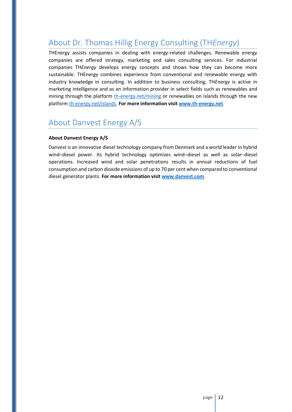## <span id="page-11-0"></span>About Dr. Thomas Hillig Energy Consulting (TH*Energy*)

THEnergy assists companies in dealing with energy-related challenges. Renewable energy companies are offered strategy, marketing and sales consulting services. For industrial companies TH*Energy* develops energy concepts and shows how they can become more sustainable. THEnergy combines experience from conventional and renewable energy with industry knowledge in consulting. In addition to business consulting, TH*Energy* is active in marketing intelligence and as an information provider in select fields such as renewables and mining through the platform [th-energy.net/mining](http://www.th-energy.net/mining) or renewables on islands through the new platform [th-energy.net/islands.](www.th-energy.net/islands) **For more information visi[t www.th-energy.net](http://www.th-energy.net/)**.

## <span id="page-11-1"></span>About Danvest Energy A/S

#### **About Danvest Energy A/S**

Danvest is an innovative diesel technology company from Denmark and a world leader in hybrid wind–diesel power. Its hybrid technology optimizes wind–diesel as well as solar–diesel operations. Increased wind and solar penetrations results in annual reductions of fuel consumption and carbon dioxide emissions of up to 70 per cent when compared to conventional diesel generator plants. **For more information visit [www.danvest.com](http://www.danvest.com/)**.